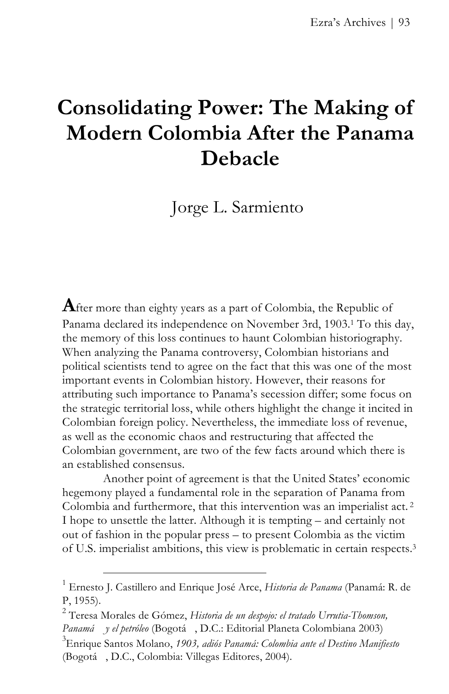# **Consolidating Power: The Making of Modern Colombia After the Panama Debacle**

Jorge L. Sarmiento

**A**fter more than eighty years as a part of Colombia, the Republic of Panama declared its independence on November 3rd, 1903.1 To this day, the memory of this loss continues to haunt Colombian historiography. When analyzing the Panama controversy, Colombian historians and political scientists tend to agree on the fact that this was one of the most important events in Colombian history. However, their reasons for attributing such importance to Panama's secession differ; some focus on the strategic territorial loss, while others highlight the change it incited in Colombian foreign policy. Nevertheless, the immediate loss of revenue, as well as the economic chaos and restructuring that affected the Colombian government, are two of the few facts around which there is an established consensus.

Another point of agreement is that the United States' economic hegemony played a fundamental role in the separation of Panama from Colombia and furthermore, that this intervention was an imperialist act. <sup>2</sup> I hope to unsettle the latter. Although it is tempting – and certainly not out of fashion in the popular press – to present Colombia as the victim of U.S. imperialist ambitions, this view is problematic in certain respects.3

<sup>1</sup> Ernesto J. Castillero and Enrique José Arce, *Historia de Panama* (Panamá: R. de P, 1955).

<sup>2</sup> Teresa Morales de Gómez, *Historia de un despojo: el tratado Urrutia-Thomson, Panamá y el petróleo* (Bogotá , D.C.: Editorial Planeta Colombiana 2003)

<sup>3</sup> Enrique Santos Molano, *1903, adiós Panamá: Colombia ante el Destino Manifiesto* (Bogotá , D.C., Colombia: Villegas Editores, 2004).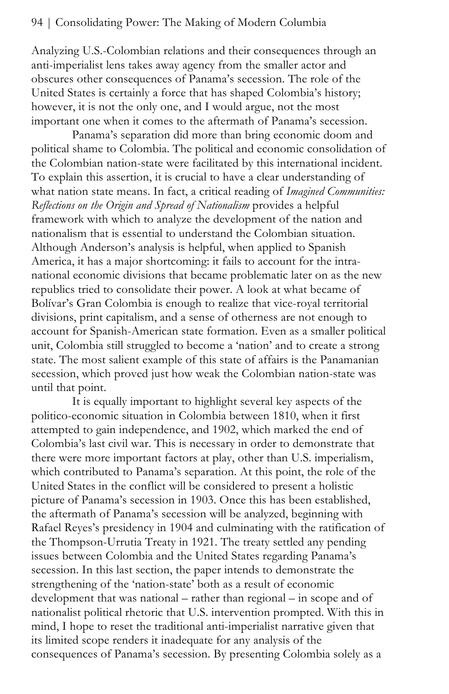Analyzing U.S.-Colombian relations and their consequences through an anti-imperialist lens takes away agency from the smaller actor and obscures other consequences of Panama's secession. The role of the United States is certainly a force that has shaped Colombia's history; however, it is not the only one, and I would argue, not the most important one when it comes to the aftermath of Panama's secession.

Panama's separation did more than bring economic doom and political shame to Colombia. The political and economic consolidation of the Colombian nation-state were facilitated by this international incident. To explain this assertion, it is crucial to have a clear understanding of what nation state means. In fact, a critical reading of *Imagined Communities: Reflections on the Origin and Spread of Nationalism* provides a helpful framework with which to analyze the development of the nation and nationalism that is essential to understand the Colombian situation. Although Anderson's analysis is helpful, when applied to Spanish America, it has a major shortcoming: it fails to account for the intranational economic divisions that became problematic later on as the new republics tried to consolidate their power. A look at what became of Bolívar's Gran Colombia is enough to realize that vice-royal territorial divisions, print capitalism, and a sense of otherness are not enough to account for Spanish-American state formation. Even as a smaller political unit, Colombia still struggled to become a 'nation' and to create a strong state. The most salient example of this state of affairs is the Panamanian secession, which proved just how weak the Colombian nation-state was until that point.

It is equally important to highlight several key aspects of the politico-economic situation in Colombia between 1810, when it first attempted to gain independence, and 1902, which marked the end of Colombia's last civil war. This is necessary in order to demonstrate that there were more important factors at play, other than U.S. imperialism, which contributed to Panama's separation. At this point, the role of the United States in the conflict will be considered to present a holistic picture of Panama's secession in 1903. Once this has been established, the aftermath of Panama's secession will be analyzed, beginning with Rafael Reyes's presidency in 1904 and culminating with the ratification of the Thompson-Urrutia Treaty in 1921. The treaty settled any pending issues between Colombia and the United States regarding Panama's secession. In this last section, the paper intends to demonstrate the strengthening of the 'nation-state' both as a result of economic development that was national – rather than regional – in scope and of nationalist political rhetoric that U.S. intervention prompted. With this in mind, I hope to reset the traditional anti-imperialist narrative given that its limited scope renders it inadequate for any analysis of the consequences of Panama's secession. By presenting Colombia solely as a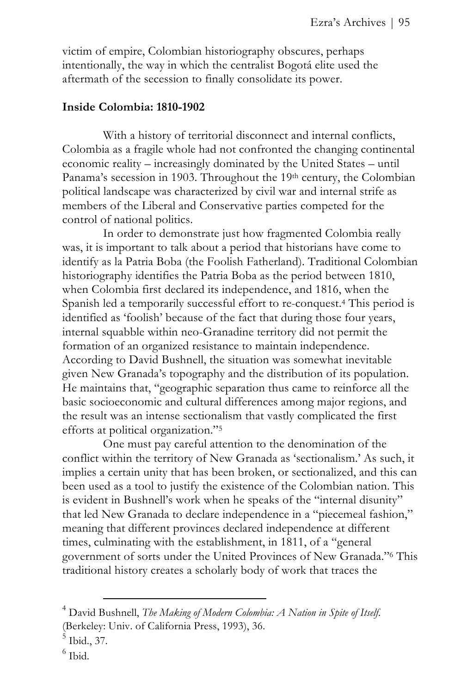victim of empire, Colombian historiography obscures, perhaps intentionally, the way in which the centralist Bogotá elite used the aftermath of the secession to finally consolidate its power.

## **Inside Colombia: 1810-1902**

With a history of territorial disconnect and internal conflicts, Colombia as a fragile whole had not confronted the changing continental economic reality – increasingly dominated by the United States – until Panama's secession in 1903. Throughout the 19th century, the Colombian political landscape was characterized by civil war and internal strife as members of the Liberal and Conservative parties competed for the control of national politics.

In order to demonstrate just how fragmented Colombia really was, it is important to talk about a period that historians have come to identify as la Patria Boba (the Foolish Fatherland). Traditional Colombian historiography identifies the Patria Boba as the period between 1810, when Colombia first declared its independence, and 1816, when the Spanish led a temporarily successful effort to re-conquest.4 This period is identified as 'foolish' because of the fact that during those four years, internal squabble within neo-Granadine territory did not permit the formation of an organized resistance to maintain independence. According to David Bushnell, the situation was somewhat inevitable given New Granada's topography and the distribution of its population. He maintains that, "geographic separation thus came to reinforce all the basic socioeconomic and cultural differences among major regions, and the result was an intense sectionalism that vastly complicated the first efforts at political organization."5

One must pay careful attention to the denomination of the conflict within the territory of New Granada as 'sectionalism.' As such, it implies a certain unity that has been broken, or sectionalized, and this can been used as a tool to justify the existence of the Colombian nation. This is evident in Bushnell's work when he speaks of the "internal disunity" that led New Granada to declare independence in a "piecemeal fashion," meaning that different provinces declared independence at different times, culminating with the establishment, in 1811, of a "general government of sorts under the United Provinces of New Granada."6 This traditional history creates a scholarly body of work that traces the

<sup>4</sup> David Bushnell, *The Making of Modern Colombia: A Nation in Spite of Itself*. (Berkeley: Univ. of California Press, 1993), 36.

<sup>5</sup> Ibid., 37.

<sup>6</sup> Ibid.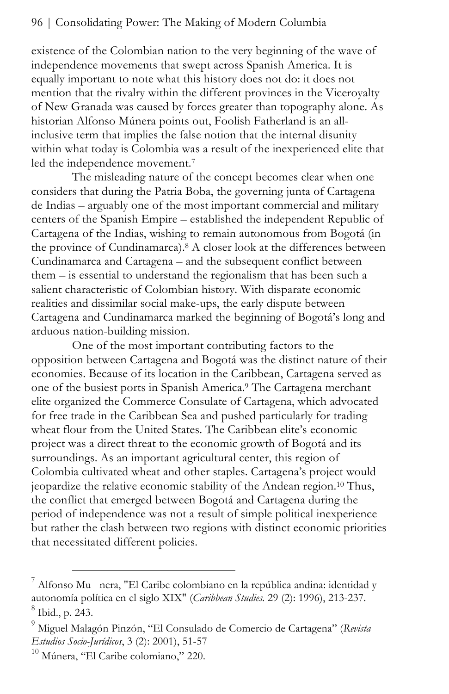existence of the Colombian nation to the very beginning of the wave of independence movements that swept across Spanish America. It is equally important to note what this history does not do: it does not mention that the rivalry within the different provinces in the Viceroyalty of New Granada was caused by forces greater than topography alone. As historian Alfonso Múnera points out, Foolish Fatherland is an allinclusive term that implies the false notion that the internal disunity within what today is Colombia was a result of the inexperienced elite that led the independence movement.<sup>7</sup>

The misleading nature of the concept becomes clear when one considers that during the Patria Boba, the governing junta of Cartagena de Indias – arguably one of the most important commercial and military centers of the Spanish Empire – established the independent Republic of Cartagena of the Indias, wishing to remain autonomous from Bogotá (in the province of Cundinamarca).8 A closer look at the differences between Cundinamarca and Cartagena – and the subsequent conflict between them – is essential to understand the regionalism that has been such a salient characteristic of Colombian history. With disparate economic realities and dissimilar social make-ups, the early dispute between Cartagena and Cundinamarca marked the beginning of Bogotá's long and arduous nation-building mission.

One of the most important contributing factors to the opposition between Cartagena and Bogotá was the distinct nature of their economies. Because of its location in the Caribbean, Cartagena served as one of the busiest ports in Spanish America.9 The Cartagena merchant elite organized the Commerce Consulate of Cartagena, which advocated for free trade in the Caribbean Sea and pushed particularly for trading wheat flour from the United States. The Caribbean elite's economic project was a direct threat to the economic growth of Bogotá and its surroundings. As an important agricultural center, this region of Colombia cultivated wheat and other staples. Cartagena's project would jeopardize the relative economic stability of the Andean region.10 Thus, the conflict that emerged between Bogotá and Cartagena during the period of independence was not a result of simple political inexperience but rather the clash between two regions with distinct economic priorities that necessitated different policies.

l

<sup>7</sup> Alfonso Mu nera, "El Caribe colombiano en la república andina: identidad y autonomía política en el siglo XIX" (*Caribbean Studies.* 29 (2): 1996), 213-237. 8 Ibid., p. 243.

<sup>9</sup> Miguel Malagón Pinzón, "El Consulado de Comercio de Cartagena" (*Revista Estudios Socio-Jurídicos*, 3 (2): 2001), 51-57

<sup>&</sup>lt;sup>10</sup> Múnera, "El Caribe colomiano," 220.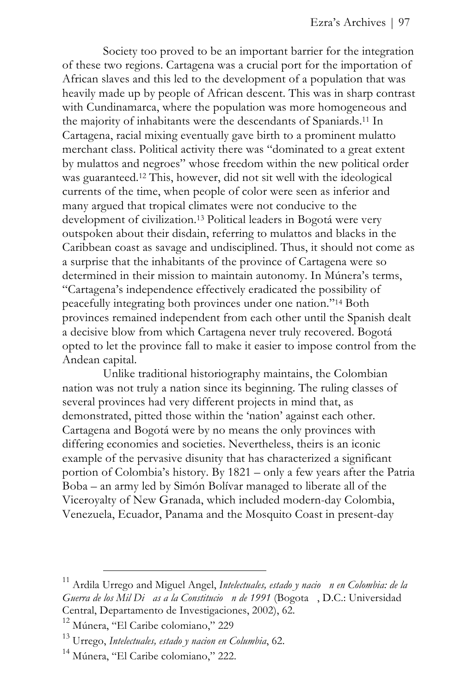Society too proved to be an important barrier for the integration of these two regions. Cartagena was a crucial port for the importation of African slaves and this led to the development of a population that was heavily made up by people of African descent. This was in sharp contrast with Cundinamarca, where the population was more homogeneous and the majority of inhabitants were the descendants of Spaniards.11 In Cartagena, racial mixing eventually gave birth to a prominent mulatto merchant class. Political activity there was "dominated to a great extent by mulattos and negroes" whose freedom within the new political order was guaranteed.12 This, however, did not sit well with the ideological currents of the time, when people of color were seen as inferior and many argued that tropical climates were not conducive to the development of civilization.13 Political leaders in Bogotá were very outspoken about their disdain, referring to mulattos and blacks in the Caribbean coast as savage and undisciplined. Thus, it should not come as a surprise that the inhabitants of the province of Cartagena were so determined in their mission to maintain autonomy. In Múnera's terms, "Cartagena's independence effectively eradicated the possibility of peacefully integrating both provinces under one nation."14 Both provinces remained independent from each other until the Spanish dealt a decisive blow from which Cartagena never truly recovered. Bogotá opted to let the province fall to make it easier to impose control from the Andean capital.

Unlike traditional historiography maintains, the Colombian nation was not truly a nation since its beginning. The ruling classes of several provinces had very different projects in mind that, as demonstrated, pitted those within the 'nation' against each other. Cartagena and Bogotá were by no means the only provinces with differing economies and societies. Nevertheless, theirs is an iconic example of the pervasive disunity that has characterized a significant portion of Colombia's history. By 1821 – only a few years after the Patria Boba – an army led by Simón Bolívar managed to liberate all of the Viceroyalty of New Granada, which included modern-day Colombia, Venezuela, Ecuador, Panama and the Mosquito Coast in present-day

<sup>11</sup> Ardila Urrego and Miguel Angel, *Intelectuales, estado y nacio n en Colombia: de la Guerra de los Mil Di as a la Constitucio n de 1991* (Bogota , D.C.: Universidad Central, Departamento de Investigaciones, 2002), 62.

<sup>12</sup> Múnera, "El Caribe colomiano," 229

<sup>13</sup> Urrego, *Intelectuales, estado y nacion en Columbia*, 62.

<sup>&</sup>lt;sup>14</sup> Múnera, "El Caribe colomiano," 222.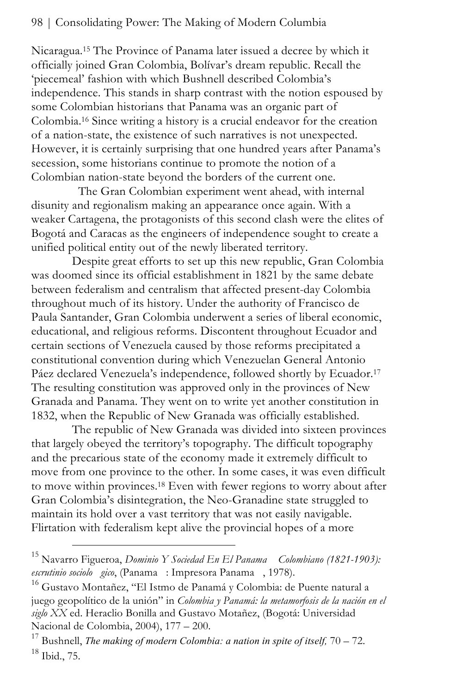Nicaragua.15 The Province of Panama later issued a decree by which it officially joined Gran Colombia, Bolívar's dream republic. Recall the 'piecemeal' fashion with which Bushnell described Colombia's independence. This stands in sharp contrast with the notion espoused by some Colombian historians that Panama was an organic part of Colombia.16 Since writing a history is a crucial endeavor for the creation of a nation-state, the existence of such narratives is not unexpected. However, it is certainly surprising that one hundred years after Panama's secession, some historians continue to promote the notion of a Colombian nation-state beyond the borders of the current one.

 The Gran Colombian experiment went ahead, with internal disunity and regionalism making an appearance once again. With a weaker Cartagena, the protagonists of this second clash were the elites of Bogotá and Caracas as the engineers of independence sought to create a unified political entity out of the newly liberated territory.

Despite great efforts to set up this new republic, Gran Colombia was doomed since its official establishment in 1821 by the same debate between federalism and centralism that affected present-day Colombia throughout much of its history. Under the authority of Francisco de Paula Santander, Gran Colombia underwent a series of liberal economic, educational, and religious reforms. Discontent throughout Ecuador and certain sections of Venezuela caused by those reforms precipitated a constitutional convention during which Venezuelan General Antonio Páez declared Venezuela's independence, followed shortly by Ecuador.<sup>17</sup> The resulting constitution was approved only in the provinces of New Granada and Panama. They went on to write yet another constitution in 1832, when the Republic of New Granada was officially established.

The republic of New Granada was divided into sixteen provinces that largely obeyed the territory's topography. The difficult topography and the precarious state of the economy made it extremely difficult to move from one province to the other. In some cases, it was even difficult to move within provinces.18 Even with fewer regions to worry about after Gran Colombia's disintegration, the Neo-Granadine state struggled to maintain its hold over a vast territory that was not easily navigable. Flirtation with federalism kept alive the provincial hopes of a more

l

<sup>15</sup> Navarro Figueroa, *Dominio Y Sociedad En El Panama Colombiano (1821-1903): escrutinio sociolo gico*, (Panama : Impresora Panama , 1978).

<sup>16</sup> Gustavo Montañez, "El Istmo de Panamá y Colombia: de Puente natural a juego geopolítico de la unión" in *Colombia y Panamá: la metamorfosis de la nación en el siglo XX* ed. Heraclio Bonilla and Gustavo Motañez, (Bogotá: Universidad

Nacional de Colombia, 2004), 177 – 200.<br><sup>17</sup> Bushnell, *The making of modern Colombia: a nation in spite of itself*, 70 – 72. 18 Ibid., 75.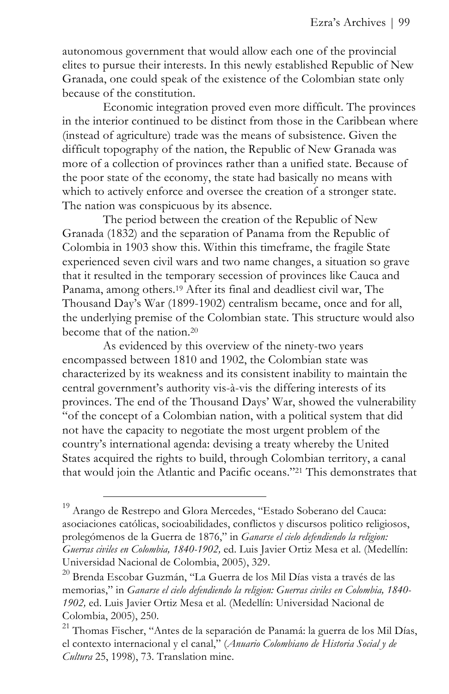autonomous government that would allow each one of the provincial elites to pursue their interests. In this newly established Republic of New Granada, one could speak of the existence of the Colombian state only because of the constitution.

Economic integration proved even more difficult. The provinces in the interior continued to be distinct from those in the Caribbean where (instead of agriculture) trade was the means of subsistence. Given the difficult topography of the nation, the Republic of New Granada was more of a collection of provinces rather than a unified state. Because of the poor state of the economy, the state had basically no means with which to actively enforce and oversee the creation of a stronger state. The nation was conspicuous by its absence.

The period between the creation of the Republic of New Granada (1832) and the separation of Panama from the Republic of Colombia in 1903 show this. Within this timeframe, the fragile State experienced seven civil wars and two name changes, a situation so grave that it resulted in the temporary secession of provinces like Cauca and Panama, among others.19 After its final and deadliest civil war, The Thousand Day's War (1899-1902) centralism became, once and for all, the underlying premise of the Colombian state. This structure would also become that of the nation 20

As evidenced by this overview of the ninety-two years encompassed between 1810 and 1902, the Colombian state was characterized by its weakness and its consistent inability to maintain the central government's authority vis-à-vis the differing interests of its provinces. The end of the Thousand Days' War, showed the vulnerability "of the concept of a Colombian nation, with a political system that did not have the capacity to negotiate the most urgent problem of the country's international agenda: devising a treaty whereby the United States acquired the rights to build, through Colombian territory, a canal that would join the Atlantic and Pacific oceans."21 This demonstrates that

 $19$  Arango de Restrepo and Glora Mercedes, "Estado Soberano del Cauca: asociaciones católicas, socioabilidades, conflictos y discursos politico religiosos, prolegómenos de la Guerra de 1876," in *Ganarse el cielo defendiendo la religion: Guerras civiles en Colombia, 1840-1902,* ed. Luis Javier Ortiz Mesa et al. (Medellín: Universidad Nacional de Colombia, 2005), 329.

<sup>20</sup> Brenda Escobar Guzmán, "La Guerra de los Mil Días vista a través de las memorias," in *Ganarse el cielo defendiendo la religion: Guerras civiles en Colombia, 1840- 1902,* ed. Luis Javier Ortiz Mesa et al. (Medellín: Universidad Nacional de Colombia, 2005), 250.

<sup>&</sup>lt;sup>21</sup> Thomas Fischer, "Antes de la separación de Panamá: la guerra de los Mil Días, el contexto internacional y el canal," (*Anuario Colombiano de Historia Social y de Cultura* 25, 1998), 73. Translation mine.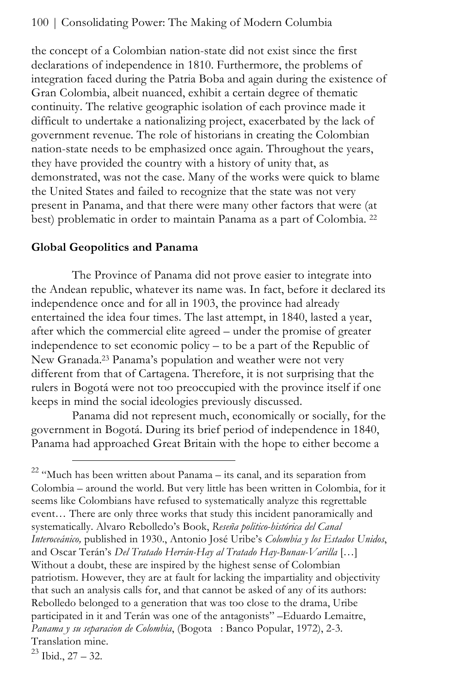the concept of a Colombian nation-state did not exist since the first declarations of independence in 1810. Furthermore, the problems of integration faced during the Patria Boba and again during the existence of Gran Colombia, albeit nuanced, exhibit a certain degree of thematic continuity. The relative geographic isolation of each province made it difficult to undertake a nationalizing project, exacerbated by the lack of government revenue. The role of historians in creating the Colombian nation-state needs to be emphasized once again. Throughout the years, they have provided the country with a history of unity that, as demonstrated, was not the case. Many of the works were quick to blame the United States and failed to recognize that the state was not very present in Panama, and that there were many other factors that were (at best) problematic in order to maintain Panama as a part of Colombia. 22

## **Global Geopolitics and Panama**

The Province of Panama did not prove easier to integrate into the Andean republic, whatever its name was. In fact, before it declared its independence once and for all in 1903, the province had already entertained the idea four times. The last attempt, in 1840, lasted a year, after which the commercial elite agreed – under the promise of greater independence to set economic policy – to be a part of the Republic of New Granada.23 Panama's population and weather were not very different from that of Cartagena. Therefore, it is not surprising that the rulers in Bogotá were not too preoccupied with the province itself if one keeps in mind the social ideologies previously discussed.

Panama did not represent much, economically or socially, for the government in Bogotá. During its brief period of independence in 1840, Panama had approached Great Britain with the hope to either become a

 $\overline{a}$ 

 $22$  "Much has been written about Panama – its canal, and its separation from Colombia – around the world. But very little has been written in Colombia, for it seems like Colombians have refused to systematically analyze this regrettable event… There are only three works that study this incident panoramically and systematically. Alvaro Rebolledo's Book, *Reseña politico-histórica del Canal Interoceánico,* published in 1930., Antonio José Uribe's *Colombia y los Estados Unidos*, and Oscar Terán's *Del Tratado Herrán-Hay al Tratado Hay-Bunau-Varilla* […] Without a doubt, these are inspired by the highest sense of Colombian patriotism. However, they are at fault for lacking the impartiality and objectivity that such an analysis calls for, and that cannot be asked of any of its authors: Rebolledo belonged to a generation that was too close to the drama, Uribe participated in it and Terán was one of the antagonists" –Eduardo Lemaitre, *Panama y su separacion de Colombia*, (Bogota : Banco Popular, 1972), 2-3. Translation mine.

 $23$  Ibid.,  $27 - 32$ .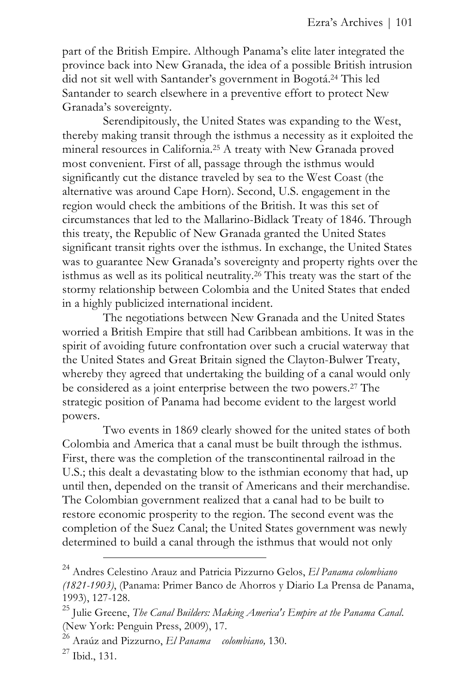part of the British Empire. Although Panama's elite later integrated the province back into New Granada, the idea of a possible British intrusion did not sit well with Santander's government in Bogotá.24 This led Santander to search elsewhere in a preventive effort to protect New Granada's sovereignty.

Serendipitously, the United States was expanding to the West, thereby making transit through the isthmus a necessity as it exploited the mineral resources in California.25 A treaty with New Granada proved most convenient. First of all, passage through the isthmus would significantly cut the distance traveled by sea to the West Coast (the alternative was around Cape Horn). Second, U.S. engagement in the region would check the ambitions of the British. It was this set of circumstances that led to the Mallarino-Bidlack Treaty of 1846. Through this treaty, the Republic of New Granada granted the United States significant transit rights over the isthmus. In exchange, the United States was to guarantee New Granada's sovereignty and property rights over the isthmus as well as its political neutrality.26 This treaty was the start of the stormy relationship between Colombia and the United States that ended in a highly publicized international incident.

The negotiations between New Granada and the United States worried a British Empire that still had Caribbean ambitions. It was in the spirit of avoiding future confrontation over such a crucial waterway that the United States and Great Britain signed the Clayton-Bulwer Treaty, whereby they agreed that undertaking the building of a canal would only be considered as a joint enterprise between the two powers.27 The strategic position of Panama had become evident to the largest world powers.

Two events in 1869 clearly showed for the united states of both Colombia and America that a canal must be built through the isthmus. First, there was the completion of the transcontinental railroad in the U.S.; this dealt a devastating blow to the isthmian economy that had, up until then, depended on the transit of Americans and their merchandise. The Colombian government realized that a canal had to be built to restore economic prosperity to the region. The second event was the completion of the Suez Canal; the United States government was newly determined to build a canal through the isthmus that would not only

<sup>24</sup> Andres Celestino Arauz and Patricia Pizzurno Gelos, *El Panama colombiano (1821-1903)*, (Panama: Primer Banco de Ahorros y Diario La Prensa de Panama, 1993), 127-128.

<sup>25</sup> Julie Greene, *The Canal Builders: Making America's Empire at the Panama Canal*. (New York: Penguin Press, 2009), 17.

<sup>26</sup> Araúz and Pizzurno, *El Panama colombiano,* 130.

<sup>27</sup> Ibid., 131.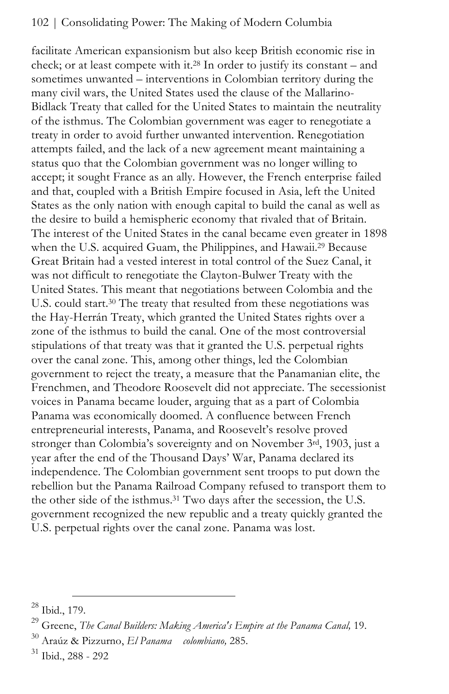facilitate American expansionism but also keep British economic rise in check; or at least compete with it.28 In order to justify its constant – and sometimes unwanted – interventions in Colombian territory during the many civil wars, the United States used the clause of the Mallarino-Bidlack Treaty that called for the United States to maintain the neutrality of the isthmus. The Colombian government was eager to renegotiate a treaty in order to avoid further unwanted intervention. Renegotiation attempts failed, and the lack of a new agreement meant maintaining a status quo that the Colombian government was no longer willing to accept; it sought France as an ally. However, the French enterprise failed and that, coupled with a British Empire focused in Asia, left the United States as the only nation with enough capital to build the canal as well as the desire to build a hemispheric economy that rivaled that of Britain. The interest of the United States in the canal became even greater in 1898 when the U.S. acquired Guam, the Philippines, and Hawaii.<sup>29</sup> Because Great Britain had a vested interest in total control of the Suez Canal, it was not difficult to renegotiate the Clayton-Bulwer Treaty with the United States. This meant that negotiations between Colombia and the U.S. could start.<sup>30</sup> The treaty that resulted from these negotiations was the Hay-Herrán Treaty, which granted the United States rights over a zone of the isthmus to build the canal. One of the most controversial stipulations of that treaty was that it granted the U.S. perpetual rights over the canal zone. This, among other things, led the Colombian government to reject the treaty, a measure that the Panamanian elite, the Frenchmen, and Theodore Roosevelt did not appreciate. The secessionist voices in Panama became louder, arguing that as a part of Colombia Panama was economically doomed. A confluence between French entrepreneurial interests, Panama, and Roosevelt's resolve proved stronger than Colombia's sovereignty and on November 3rd, 1903, just a year after the end of the Thousand Days' War, Panama declared its independence. The Colombian government sent troops to put down the rebellion but the Panama Railroad Company refused to transport them to the other side of the isthmus.<sup>31</sup> Two days after the secession, the U.S. government recognized the new republic and a treaty quickly granted the U.S. perpetual rights over the canal zone. Panama was lost.

 $\overline{a}$ 

 $28$  Ibid., 179.

<sup>29</sup> Greene, *The Canal Builders: Making America's Empire at the Panama Canal,* 19.

<sup>30</sup> Araúz & Pizzurno, *El Panama colombiano,* 285.

<sup>31</sup> Ibid., 288 - 292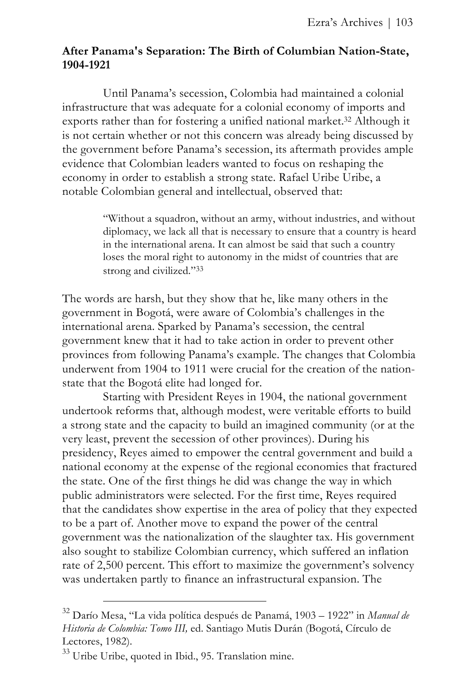## **After Panama's Separation: The Birth of Columbian Nation-State, 1904-1921**

Until Panama's secession, Colombia had maintained a colonial infrastructure that was adequate for a colonial economy of imports and exports rather than for fostering a unified national market.32 Although it is not certain whether or not this concern was already being discussed by the government before Panama's secession, its aftermath provides ample evidence that Colombian leaders wanted to focus on reshaping the economy in order to establish a strong state. Rafael Uribe Uribe, a notable Colombian general and intellectual, observed that:

> "Without a squadron, without an army, without industries, and without diplomacy, we lack all that is necessary to ensure that a country is heard in the international arena. It can almost be said that such a country loses the moral right to autonomy in the midst of countries that are strong and civilized."33

The words are harsh, but they show that he, like many others in the government in Bogotá, were aware of Colombia's challenges in the international arena. Sparked by Panama's secession, the central government knew that it had to take action in order to prevent other provinces from following Panama's example. The changes that Colombia underwent from 1904 to 1911 were crucial for the creation of the nationstate that the Bogotá elite had longed for.

Starting with President Reyes in 1904, the national government undertook reforms that, although modest, were veritable efforts to build a strong state and the capacity to build an imagined community (or at the very least, prevent the secession of other provinces). During his presidency, Reyes aimed to empower the central government and build a national economy at the expense of the regional economies that fractured the state. One of the first things he did was change the way in which public administrators were selected. For the first time, Reyes required that the candidates show expertise in the area of policy that they expected to be a part of. Another move to expand the power of the central government was the nationalization of the slaughter tax. His government also sought to stabilize Colombian currency, which suffered an inflation rate of 2,500 percent. This effort to maximize the government's solvency was undertaken partly to finance an infrastructural expansion. The

<sup>32</sup> Darío Mesa, "La vida política después de Panamá, 1903 – 1922" in *Manual de Historia de Colombia: Tomo III,* ed. Santiago Mutis Durán (Bogotá, Círculo de Lectores, 1982).

<sup>&</sup>lt;sup>33</sup> Uribe Uribe, quoted in Ibid., 95. Translation mine.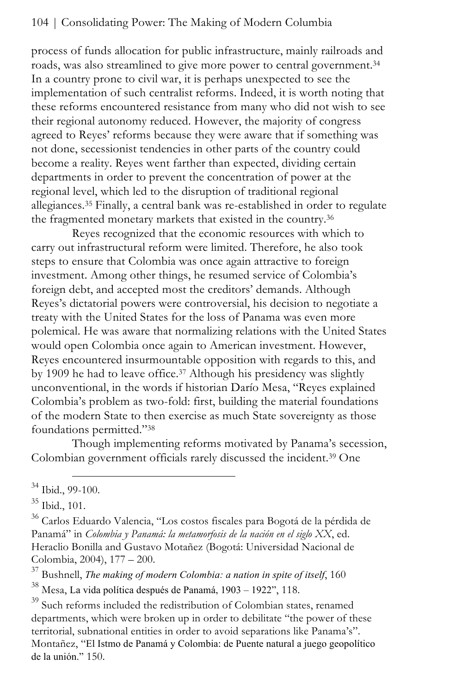process of funds allocation for public infrastructure, mainly railroads and roads, was also streamlined to give more power to central government.34 In a country prone to civil war, it is perhaps unexpected to see the implementation of such centralist reforms. Indeed, it is worth noting that these reforms encountered resistance from many who did not wish to see their regional autonomy reduced. However, the majority of congress agreed to Reyes' reforms because they were aware that if something was not done, secessionist tendencies in other parts of the country could become a reality. Reyes went farther than expected, dividing certain departments in order to prevent the concentration of power at the regional level, which led to the disruption of traditional regional allegiances.35 Finally, a central bank was re-established in order to regulate the fragmented monetary markets that existed in the country.36

Reyes recognized that the economic resources with which to carry out infrastructural reform were limited. Therefore, he also took steps to ensure that Colombia was once again attractive to foreign investment. Among other things, he resumed service of Colombia's foreign debt, and accepted most the creditors' demands. Although Reyes's dictatorial powers were controversial, his decision to negotiate a treaty with the United States for the loss of Panama was even more polemical. He was aware that normalizing relations with the United States would open Colombia once again to American investment. However, Reyes encountered insurmountable opposition with regards to this, and by 1909 he had to leave office.<sup>37</sup> Although his presidency was slightly unconventional, in the words if historian Darío Mesa, "Reyes explained Colombia's problem as two-fold: first, building the material foundations of the modern State to then exercise as much State sovereignty as those foundations permitted."38

Though implementing reforms motivated by Panama's secession, Colombian government officials rarely discussed the incident.39 One

l

37 Bushnell, *The making of modern Colombia: a nation in spite of itself*, 160

38 Mesa, La vida política después de Panamá, 1903 – 1922", 118.

 $34$  Ibid., 99-100.

<sup>35</sup> Ibid., 101.

<sup>36</sup> Carlos Eduardo Valencia, "Los costos fiscales para Bogotá de la pérdida de Panamá" in *Colombia y Panamá: la metamorfosis de la nación en el siglo XX*, ed. Heraclio Bonilla and Gustavo Motañez (Bogotá: Universidad Nacional de Colombia, 2004), 177 – 200.

<sup>&</sup>lt;sup>39</sup> Such reforms included the redistribution of Colombian states, renamed departments, which were broken up in order to debilitate "the power of these territorial, subnational entities in order to avoid separations like Panama's". Montañez, "El Istmo de Panamá y Colombia: de Puente natural a juego geopolítico de la unión." 150.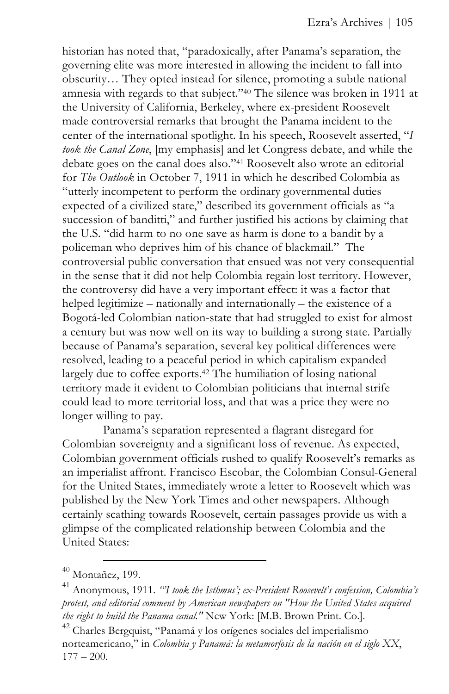historian has noted that, "paradoxically, after Panama's separation, the governing elite was more interested in allowing the incident to fall into obscurity… They opted instead for silence, promoting a subtle national amnesia with regards to that subject."40 The silence was broken in 1911 at the University of California, Berkeley, where ex-president Roosevelt made controversial remarks that brought the Panama incident to the center of the international spotlight. In his speech, Roosevelt asserted, "*I took the Canal Zone*, [my emphasis] and let Congress debate, and while the debate goes on the canal does also."41 Roosevelt also wrote an editorial for *The Outlook* in October 7, 1911 in which he described Colombia as "utterly incompetent to perform the ordinary governmental duties expected of a civilized state," described its government officials as "a succession of banditti," and further justified his actions by claiming that the U.S. "did harm to no one save as harm is done to a bandit by a policeman who deprives him of his chance of blackmail." The controversial public conversation that ensued was not very consequential in the sense that it did not help Colombia regain lost territory. However, the controversy did have a very important effect: it was a factor that helped legitimize – nationally and internationally – the existence of a Bogotá-led Colombian nation-state that had struggled to exist for almost a century but was now well on its way to building a strong state. Partially because of Panama's separation, several key political differences were resolved, leading to a peaceful period in which capitalism expanded largely due to coffee exports.<sup>42</sup> The humiliation of losing national territory made it evident to Colombian politicians that internal strife could lead to more territorial loss, and that was a price they were no longer willing to pay.

Panama's separation represented a flagrant disregard for Colombian sovereignty and a significant loss of revenue. As expected, Colombian government officials rushed to qualify Roosevelt's remarks as an imperialist affront. Francisco Escobar, the Colombian Consul-General for the United States, immediately wrote a letter to Roosevelt which was published by the New York Times and other newspapers. Although certainly scathing towards Roosevelt, certain passages provide us with a glimpse of the complicated relationship between Colombia and the United States:

<sup>&</sup>lt;u>.</u>  $40$  Montañez, 199.

<sup>41</sup> Anonymous, 1911. *"'I took the Isthmus'; ex-President Roosevelt's confession, Colombia's protest, and editorial comment by American newspapers on "How the United States acquired the right to build the Panama canal."* New York: [M.B. Brown Print. Co.].

<sup>42</sup> Charles Bergquist, "Panamá y los orígenes sociales del imperialismo norteamericano," in *Colombia y Panamá: la metamorfosis de la nación en el siglo XX*,  $177 - 200.$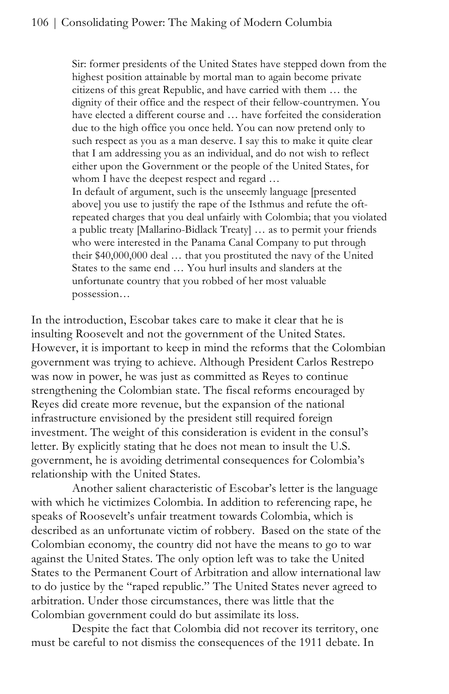Sir: former presidents of the United States have stepped down from the highest position attainable by mortal man to again become private citizens of this great Republic, and have carried with them … the dignity of their office and the respect of their fellow-countrymen. You have elected a different course and … have forfeited the consideration due to the high office you once held. You can now pretend only to such respect as you as a man deserve. I say this to make it quite clear that I am addressing you as an individual, and do not wish to reflect either upon the Government or the people of the United States, for whom I have the deepest respect and regard ... In default of argument, such is the unseemly language [presented above] you use to justify the rape of the Isthmus and refute the oftrepeated charges that you deal unfairly with Colombia; that you violated a public treaty [Mallarino-Bidlack Treaty] … as to permit your friends who were interested in the Panama Canal Company to put through their \$40,000,000 deal … that you prostituted the navy of the United States to the same end … You hurl insults and slanders at the unfortunate country that you robbed of her most valuable

possession…

In the introduction, Escobar takes care to make it clear that he is insulting Roosevelt and not the government of the United States. However, it is important to keep in mind the reforms that the Colombian government was trying to achieve. Although President Carlos Restrepo was now in power, he was just as committed as Reyes to continue strengthening the Colombian state. The fiscal reforms encouraged by Reyes did create more revenue, but the expansion of the national infrastructure envisioned by the president still required foreign investment. The weight of this consideration is evident in the consul's letter. By explicitly stating that he does not mean to insult the U.S. government, he is avoiding detrimental consequences for Colombia's relationship with the United States.

Another salient characteristic of Escobar's letter is the language with which he victimizes Colombia. In addition to referencing rape, he speaks of Roosevelt's unfair treatment towards Colombia, which is described as an unfortunate victim of robbery. Based on the state of the Colombian economy, the country did not have the means to go to war against the United States. The only option left was to take the United States to the Permanent Court of Arbitration and allow international law to do justice by the "raped republic." The United States never agreed to arbitration. Under those circumstances, there was little that the Colombian government could do but assimilate its loss.

Despite the fact that Colombia did not recover its territory, one must be careful to not dismiss the consequences of the 1911 debate. In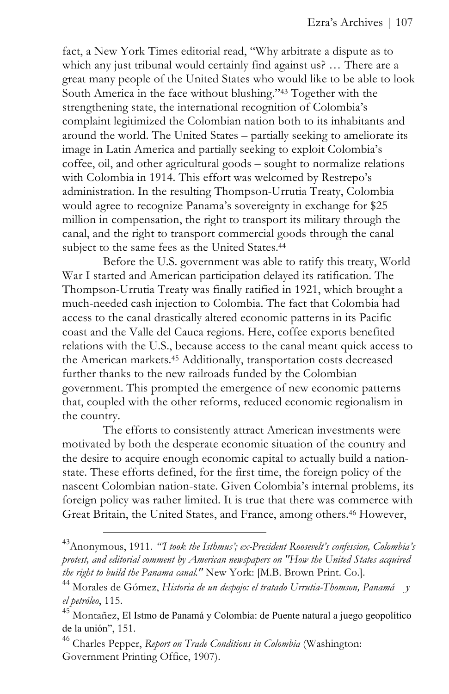fact, a New York Times editorial read, "Why arbitrate a dispute as to which any just tribunal would certainly find against us? ... There are a great many people of the United States who would like to be able to look South America in the face without blushing."43 Together with the strengthening state, the international recognition of Colombia's complaint legitimized the Colombian nation both to its inhabitants and around the world. The United States – partially seeking to ameliorate its image in Latin America and partially seeking to exploit Colombia's coffee, oil, and other agricultural goods – sought to normalize relations with Colombia in 1914. This effort was welcomed by Restrepo's administration. In the resulting Thompson-Urrutia Treaty, Colombia would agree to recognize Panama's sovereignty in exchange for \$25 million in compensation, the right to transport its military through the canal, and the right to transport commercial goods through the canal subject to the same fees as the United States.<sup>44</sup>

Before the U.S. government was able to ratify this treaty, World War I started and American participation delayed its ratification. The Thompson-Urrutia Treaty was finally ratified in 1921, which brought a much-needed cash injection to Colombia. The fact that Colombia had access to the canal drastically altered economic patterns in its Pacific coast and the Valle del Cauca regions. Here, coffee exports benefited relations with the U.S., because access to the canal meant quick access to the American markets.45 Additionally, transportation costs decreased further thanks to the new railroads funded by the Colombian government. This prompted the emergence of new economic patterns that, coupled with the other reforms, reduced economic regionalism in the country.

The efforts to consistently attract American investments were motivated by both the desperate economic situation of the country and the desire to acquire enough economic capital to actually build a nationstate. These efforts defined, for the first time, the foreign policy of the nascent Colombian nation-state. Given Colombia's internal problems, its foreign policy was rather limited. It is true that there was commerce with Great Britain, the United States, and France, among others.46 However,

<sup>43</sup>Anonymous, 1911. *"'I took the Isthmus'; ex-President Roosevelt's confession, Colombia's protest, and editorial comment by American newspapers on "How the United States acquired the right to build the Panama canal."* New York: [M.B. Brown Print. Co.].

<sup>44</sup> Morales de Gómez, *Historia de un despojo: el tratado Urrutia-Thomson, Panamá y el petróleo*, 115.

<sup>45</sup> Montañez, El Istmo de Panamá y Colombia: de Puente natural a juego geopolítico de la unión", 151.

<sup>46</sup> Charles Pepper, *Report on Trade Conditions in Colombia* (Washington: Government Printing Office, 1907).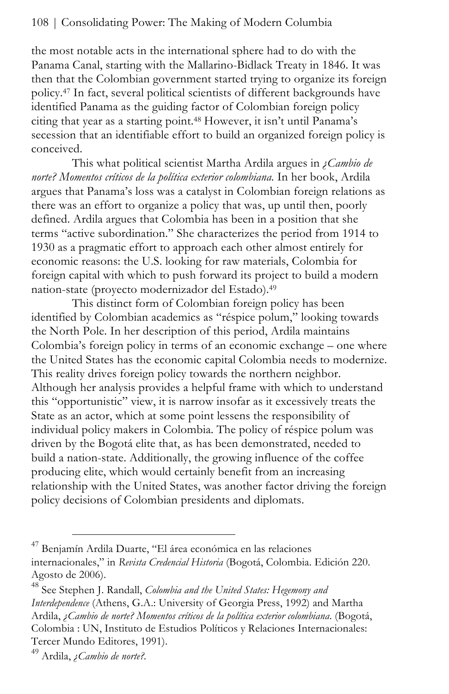the most notable acts in the international sphere had to do with the Panama Canal, starting with the Mallarino-Bidlack Treaty in 1846. It was then that the Colombian government started trying to organize its foreign policy.47 In fact, several political scientists of different backgrounds have identified Panama as the guiding factor of Colombian foreign policy citing that year as a starting point.48 However, it isn't until Panama's secession that an identifiable effort to build an organized foreign policy is conceived.

This what political scientist Martha Ardila argues in *¿Cambio de norte? Momentos críticos de la política exterior colombiana.* In her book, Ardila argues that Panama's loss was a catalyst in Colombian foreign relations as there was an effort to organize a policy that was, up until then, poorly defined. Ardila argues that Colombia has been in a position that she terms "active subordination." She characterizes the period from 1914 to 1930 as a pragmatic effort to approach each other almost entirely for economic reasons: the U.S. looking for raw materials, Colombia for foreign capital with which to push forward its project to build a modern nation-state (proyecto modernizador del Estado).49

This distinct form of Colombian foreign policy has been identified by Colombian academics as "réspice polum," looking towards the North Pole. In her description of this period, Ardila maintains Colombia's foreign policy in terms of an economic exchange – one where the United States has the economic capital Colombia needs to modernize. This reality drives foreign policy towards the northern neighbor. Although her analysis provides a helpful frame with which to understand this "opportunistic" view, it is narrow insofar as it excessively treats the State as an actor, which at some point lessens the responsibility of individual policy makers in Colombia. The policy of réspice polum was driven by the Bogotá elite that, as has been demonstrated, needed to build a nation-state. Additionally, the growing influence of the coffee producing elite, which would certainly benefit from an increasing relationship with the United States, was another factor driving the foreign policy decisions of Colombian presidents and diplomats.

 $\overline{a}$ 

<sup>47</sup> Benjamín Ardila Duarte, "El área económica en las relaciones internacionales," in *Revista Credencial Historia* (Bogotá, Colombia. Edición 220. Agosto de 2006).

<sup>48</sup> See Stephen J. Randall, *Colombia and the United States: Hegemony and Interdependence* (Athens, G.A.: University of Georgia Press, 1992) and Martha Ardila, *¿Cambio de norte? Momentos críticos de la política exterior colombiana*. (Bogotá, Colombia : UN, Instituto de Estudios Políticos y Relaciones Internacionales: Tercer Mundo Editores, 1991).

<sup>49</sup> Ardila, *¿Cambio de norte?.*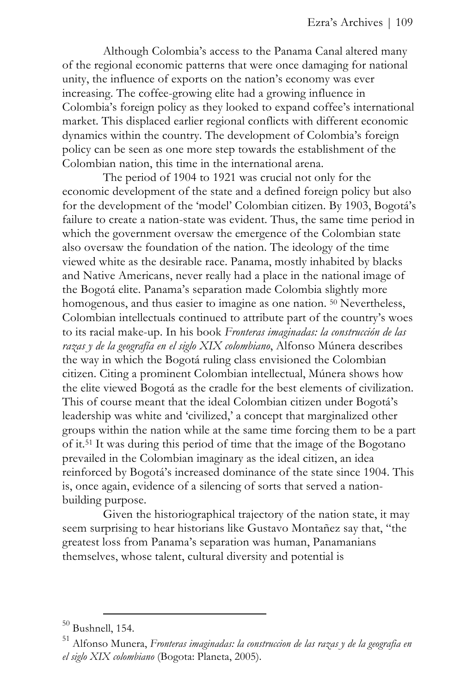Although Colombia's access to the Panama Canal altered many of the regional economic patterns that were once damaging for national unity, the influence of exports on the nation's economy was ever increasing. The coffee-growing elite had a growing influence in Colombia's foreign policy as they looked to expand coffee's international market. This displaced earlier regional conflicts with different economic dynamics within the country. The development of Colombia's foreign policy can be seen as one more step towards the establishment of the Colombian nation, this time in the international arena.

The period of 1904 to 1921 was crucial not only for the economic development of the state and a defined foreign policy but also for the development of the 'model' Colombian citizen. By 1903, Bogotá's failure to create a nation-state was evident. Thus, the same time period in which the government oversaw the emergence of the Colombian state also oversaw the foundation of the nation. The ideology of the time viewed white as the desirable race. Panama, mostly inhabited by blacks and Native Americans, never really had a place in the national image of the Bogotá elite. Panama's separation made Colombia slightly more homogenous, and thus easier to imagine as one nation. <sup>50</sup> Nevertheless, Colombian intellectuals continued to attribute part of the country's woes to its racial make-up. In his book *Fronteras imaginadas: la construcción de las razas y de la geografía en el siglo XIX colombiano*, Alfonso Múnera describes the way in which the Bogotá ruling class envisioned the Colombian citizen. Citing a prominent Colombian intellectual, Múnera shows how the elite viewed Bogotá as the cradle for the best elements of civilization. This of course meant that the ideal Colombian citizen under Bogotá's leadership was white and 'civilized,' a concept that marginalized other groups within the nation while at the same time forcing them to be a part of it.51 It was during this period of time that the image of the Bogotano prevailed in the Colombian imaginary as the ideal citizen, an idea reinforced by Bogotá's increased dominance of the state since 1904. This is, once again, evidence of a silencing of sorts that served a nationbuilding purpose.

Given the historiographical trajectory of the nation state, it may seem surprising to hear historians like Gustavo Montañez say that, "the greatest loss from Panama's separation was human, Panamanians themselves, whose talent, cultural diversity and potential is

<sup>&</sup>lt;u>.</u>  $50$  Bushnell, 154.

<sup>51</sup> Alfonso Munera, *Fronteras imaginadas: la construccion de las razas y de la geografia en el siglo XIX colombiano* (Bogota: Planeta, 2005).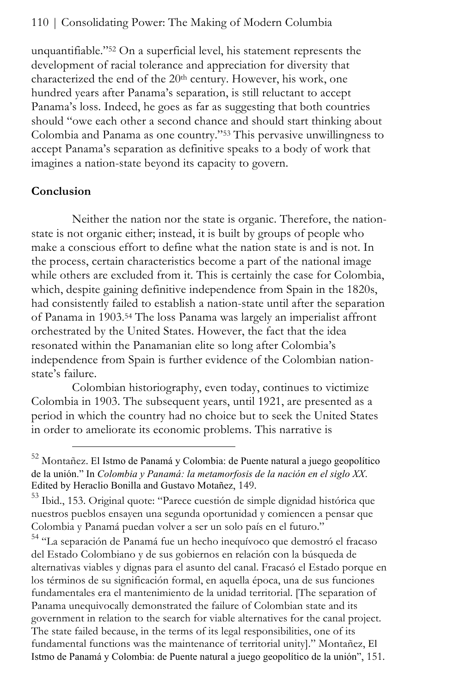unquantifiable."52 On a superficial level, his statement represents the development of racial tolerance and appreciation for diversity that characterized the end of the 20<sup>th</sup> century. However, his work, one hundred years after Panama's separation, is still reluctant to accept Panama's loss. Indeed, he goes as far as suggesting that both countries should "owe each other a second chance and should start thinking about Colombia and Panama as one country."53 This pervasive unwillingness to accept Panama's separation as definitive speaks to a body of work that imagines a nation-state beyond its capacity to govern.

## **Conclusion**

l

Neither the nation nor the state is organic. Therefore, the nationstate is not organic either; instead, it is built by groups of people who make a conscious effort to define what the nation state is and is not. In the process, certain characteristics become a part of the national image while others are excluded from it. This is certainly the case for Colombia, which, despite gaining definitive independence from Spain in the 1820s, had consistently failed to establish a nation-state until after the separation of Panama in 1903.54 The loss Panama was largely an imperialist affront orchestrated by the United States. However, the fact that the idea resonated within the Panamanian elite so long after Colombia's independence from Spain is further evidence of the Colombian nationstate's failure.

Colombian historiography, even today, continues to victimize Colombia in 1903. The subsequent years, until 1921, are presented as a period in which the country had no choice but to seek the United States in order to ameliorate its economic problems. This narrative is

<sup>54</sup> "La separación de Panamá fue un hecho inequívoco que demostró el fracaso del Estado Colombiano y de sus gobiernos en relación con la búsqueda de alternativas viables y dignas para el asunto del canal. Fracasó el Estado porque en los términos de su significación formal, en aquella época, una de sus funciones fundamentales era el mantenimiento de la unidad territorial. [The separation of Panama unequivocally demonstrated the failure of Colombian state and its government in relation to the search for viable alternatives for the canal project. The state failed because, in the terms of its legal responsibilities, one of its fundamental functions was the maintenance of territorial unity]." Montañez, El Istmo de Panamá y Colombia: de Puente natural a juego geopolítico de la unión", 151.

 $52$  Montañez. El Istmo de Panamá y Colombia: de Puente natural a juego geopolítico de la unión." In *Colombia y Panamá: la metamorfosis de la nación en el siglo XX*. Edited by Heraclio Bonilla and Gustavo Motañez, 149.

<sup>&</sup>lt;sup>53</sup> Ibid., 153. Original quote: "Parece cuestión de simple dignidad histórica que nuestros pueblos ensayen una segunda oportunidad y comiencen a pensar que Colombia y Panamá puedan volver a ser un solo país en el futuro."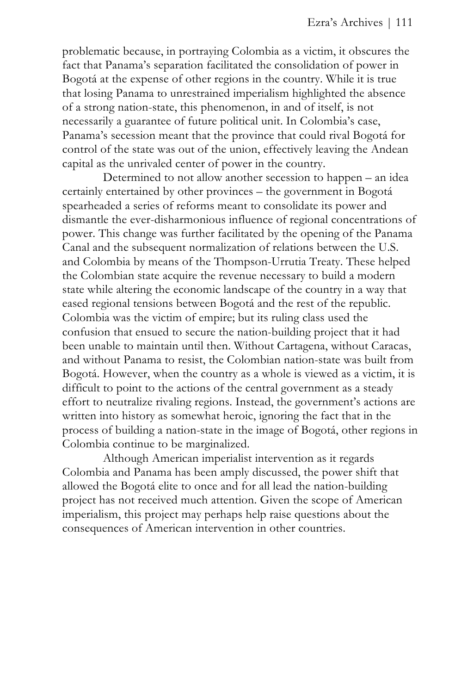problematic because, in portraying Colombia as a victim, it obscures the fact that Panama's separation facilitated the consolidation of power in Bogotá at the expense of other regions in the country. While it is true that losing Panama to unrestrained imperialism highlighted the absence of a strong nation-state, this phenomenon, in and of itself, is not necessarily a guarantee of future political unit. In Colombia's case, Panama's secession meant that the province that could rival Bogotá for control of the state was out of the union, effectively leaving the Andean capital as the unrivaled center of power in the country.

Determined to not allow another secession to happen – an idea certainly entertained by other provinces – the government in Bogotá spearheaded a series of reforms meant to consolidate its power and dismantle the ever-disharmonious influence of regional concentrations of power. This change was further facilitated by the opening of the Panama Canal and the subsequent normalization of relations between the U.S. and Colombia by means of the Thompson-Urrutia Treaty. These helped the Colombian state acquire the revenue necessary to build a modern state while altering the economic landscape of the country in a way that eased regional tensions between Bogotá and the rest of the republic. Colombia was the victim of empire; but its ruling class used the confusion that ensued to secure the nation-building project that it had been unable to maintain until then. Without Cartagena, without Caracas, and without Panama to resist, the Colombian nation-state was built from Bogotá. However, when the country as a whole is viewed as a victim, it is difficult to point to the actions of the central government as a steady effort to neutralize rivaling regions. Instead, the government's actions are written into history as somewhat heroic, ignoring the fact that in the process of building a nation-state in the image of Bogotá, other regions in Colombia continue to be marginalized.

Although American imperialist intervention as it regards Colombia and Panama has been amply discussed, the power shift that allowed the Bogotá elite to once and for all lead the nation-building project has not received much attention. Given the scope of American imperialism, this project may perhaps help raise questions about the consequences of American intervention in other countries.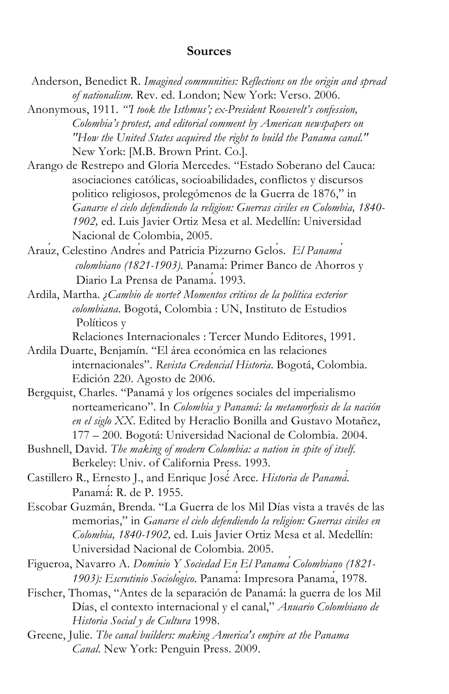#### **Sources**

- Anderson, Benedict R. *Imagined communities: Reflections on the origin and spread of nationalism*. Rev. ed. London; New York: Verso. 2006.
- Anonymous, 1911. *"'I took the Isthmus'; ex-President Roosevelt's confession, Colombia's protest, and editorial comment by American newspapers on "How the United States acquired the right to build the Panama canal."* New York: [M.B. Brown Print. Co.].
- Arango de Restrepo and Gloria Mercedes. "Estado Soberano del Cauca: asociaciones católicas, socioabilidades, conflictos y discursos politico religiosos, prolegómenos de la Guerra de 1876," in *Ganarse el cielo defendiendo la religion: Guerras civiles en Colombia, 1840- 1902,* ed. Luis Javier Ortiz Mesa et al. Medellín: Universidad Nacional de Colombia, 2005.
- Araúz, Celestino Andrés and Patricia Pizzurno Gelós. *El Panamá colombiano (1821-1903)*. Panamá: Primer Banco de Ahorros y Diario La Prensa de Panamá. 1993.
- Ardila, Martha. *¿Cambio de norte? Momentos críticos de la política exterior colombiana*. Bogotá, Colombia : UN, Instituto de Estudios Políticos y

Relaciones Internacionales : Tercer Mundo Editores, 1991.

- Ardila Duarte, Benjamín. "El área económica en las relaciones internacionales". *Revista Credencial Historia*. Bogotá, Colombia. Edición 220. Agosto de 2006.
- Bergquist, Charles. "Panamá y los orígenes sociales del imperialismo norteamericano". In *Colombia y Panamá: la metamorfosis de la nación en el siglo XX*. Edited by Heraclio Bonilla and Gustavo Motañez, 177 – 200. Bogotá: Universidad Nacional de Colombia. 2004.
- Bushnell, David. *The making of modern Colombia: a nation in spite of itself*. Berkeley: Univ. of California Press. 1993.
- Castillero R., Ernesto J., and Enrique José́ Arce. *Historia de Panamá́*. Panamá́: R. de P. 1955.
- Escobar Guzmán, Brenda. "La Guerra de los Mil Días vista a través de las memorias," in *Ganarse el cielo defendiendo la religion: Guerras civiles en Colombia, 1840-1902,* ed. Luis Javier Ortiz Mesa et al. Medellín: Universidad Nacional de Colombia. 2005.
- Figueroa, Navarro A. *Dominio Y Sociedad En El Panamá Colombiano (1821- 1903): Escrutinio Sociológico*. Panamá: Impresora Panamá, 1978.
- Fischer, Thomas, "Antes de la separación de Panamá: la guerra de los Mil Días, el contexto internacional y el canal," *Anuario Colombiano de Historia Social y de Cultura* 1998.
- Greene, Julie. *The canal builders: making America's empire at the Panama Canal*. New York: Penguin Press. 2009.